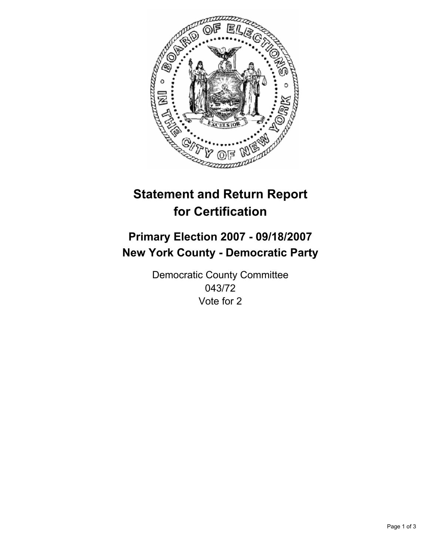

# **Statement and Return Report for Certification**

## **Primary Election 2007 - 09/18/2007 New York County - Democratic Party**

Democratic County Committee 043/72 Vote for 2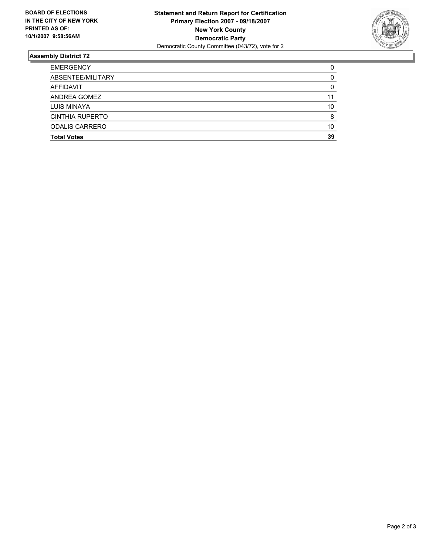

### **Assembly District 72**

| <b>EMERGENCY</b>       |    |
|------------------------|----|
| ABSENTEE/MILITARY      |    |
| AFFIDAVIT              |    |
| ANDREA GOMEZ           | 11 |
| LUIS MINAYA            | 10 |
| <b>CINTHIA RUPERTO</b> |    |
| <b>ODALIS CARRERO</b>  | 10 |
| <b>Total Votes</b>     | 39 |